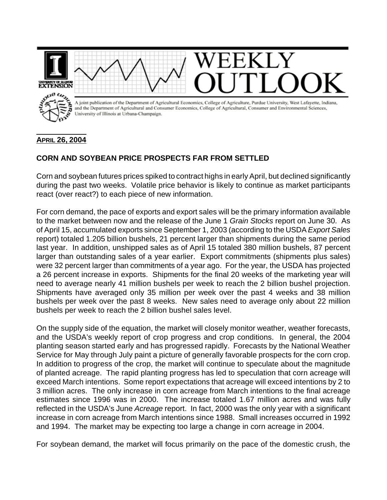

## **APRIL 26, 2004**

## **CORN AND SOYBEAN PRICE PROSPECTS FAR FROM SETTLED**

Corn and soybean futures prices spiked to contract highs in early April, but declined significantly during the past two weeks. Volatile price behavior is likely to continue as market participants react (over react?) to each piece of new information.

For corn demand, the pace of exports and export sales will be the primary information available to the market between now and the release of the June 1 *Grain Stocks* report on June 30. As of April 15, accumulated exports since September 1, 2003 (according to the USDA *Export Sales* report) totaled 1.205 billion bushels, 21 percent larger than shipments during the same period last year. In addition, unshipped sales as of April 15 totaled 380 million bushels, 87 percent larger than outstanding sales of a year earlier. Export commitments (shipments plus sales) were 32 percent larger than commitments of a year ago. For the year, the USDA has projected a 26 percent increase in exports. Shipments for the final 20 weeks of the marketing year will need to average nearly 41 million bushels per week to reach the 2 billion bushel projection. Shipments have averaged only 35 million per week over the past 4 weeks and 38 million bushels per week over the past 8 weeks. New sales need to average only about 22 million bushels per week to reach the 2 billion bushel sales level.

On the supply side of the equation, the market will closely monitor weather, weather forecasts, and the USDA's weekly report of crop progress and crop conditions. In general, the 2004 planting season started early and has progressed rapidly. Forecasts by the National Weather Service for May through July paint a picture of generally favorable prospects for the corn crop. In addition to progress of the crop, the market will continue to speculate about the magnitude of planted acreage. The rapid planting progress has led to speculation that corn acreage will exceed March intentions. Some report expectations that acreage will exceed intentions by 2 to 3 million acres. The only increase in corn acreage from March intentions to the final acreage estimates since 1996 was in 2000. The increase totaled 1.67 million acres and was fully reflected in the USDA's June *Acreage* report. In fact, 2000 was the only year with a significant increase in corn acreage from March intentions since 1988. Small increases occurred in 1992 and 1994. The market may be expecting too large a change in corn acreage in 2004.

For soybean demand, the market will focus primarily on the pace of the domestic crush, the